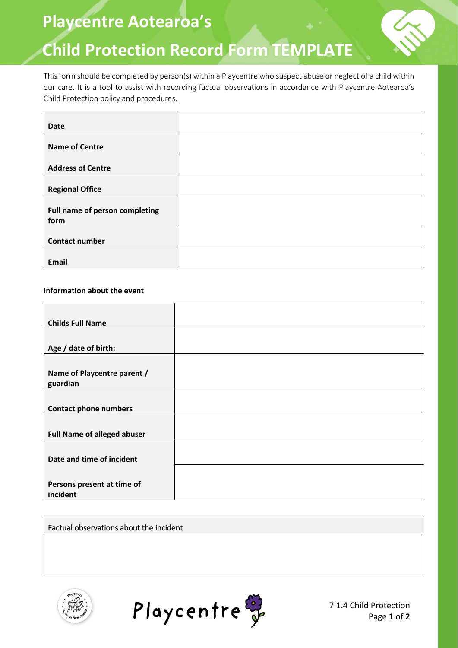**Playcentre Aotearoa's** 

# **Child Protection Record Form TEMPLATE**

This form should be completed by person(s) within a Playcentre who suspect abuse or neglect of a child within our care. It is a tool to assist with recording factual observations in accordance with Playcentre Aotearoa's Child Protection policy and procedures.

| <b>Date</b>                    |  |
|--------------------------------|--|
|                                |  |
| <b>Name of Centre</b>          |  |
|                                |  |
| <b>Address of Centre</b>       |  |
|                                |  |
| <b>Regional Office</b>         |  |
|                                |  |
| Full name of person completing |  |
| form                           |  |
|                                |  |
| <b>Contact number</b>          |  |
|                                |  |
| <b>Email</b>                   |  |

### **Information about the event**

| <b>Childs Full Name</b>            |  |
|------------------------------------|--|
|                                    |  |
| Age / date of birth:               |  |
|                                    |  |
| Name of Playcentre parent /        |  |
| guardian                           |  |
|                                    |  |
| <b>Contact phone numbers</b>       |  |
|                                    |  |
| <b>Full Name of alleged abuser</b> |  |
|                                    |  |
| Date and time of incident          |  |
|                                    |  |
| Persons present at time of         |  |
| incident                           |  |

Factual observations about the incident





7 1.4 Child Protection Page **1** of **2**